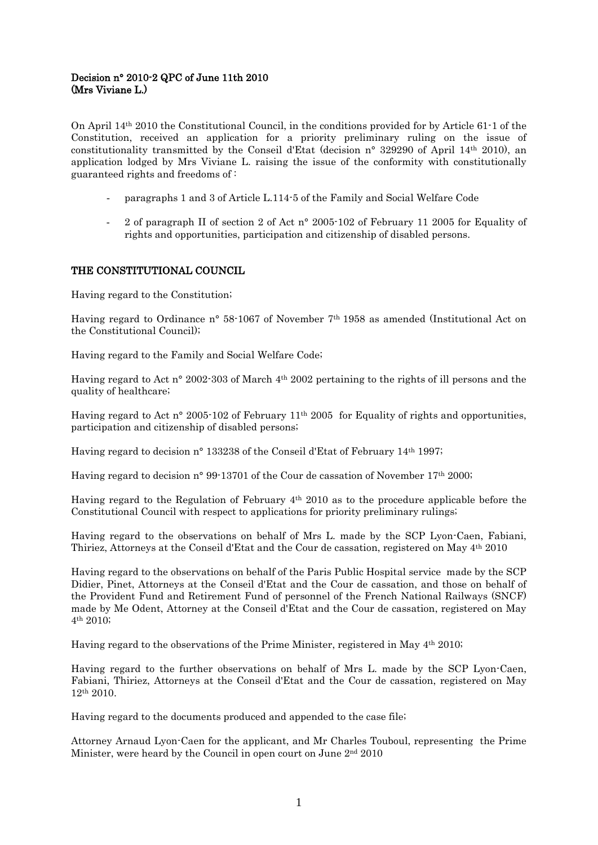# Decision n° 2010-2 QPC of June 11th 2010 (Mrs Viviane L.)

On April 14th 2010 the Constitutional Council, in the conditions provided for by Article 61-1 of the Constitution, received an application for a priority preliminary ruling on the issue of constitutionality transmitted by the Conseil d'Etat (decision n° 329290 of April 14th 2010), an application lodged by Mrs Viviane L. raising the issue of the conformity with constitutionally guaranteed rights and freedoms of :

- paragraphs 1 and 3 of Article L.114-5 of the Family and Social Welfare Code
- 2 of paragraph II of section 2 of Act n° 2005-102 of February 11 2005 for Equality of rights and opportunities, participation and citizenship of disabled persons.

## THE CONSTITUTIONAL COUNCIL

Having regard to the Constitution;

Having regard to Ordinance n° 58-1067 of November 7th 1958 as amended (Institutional Act on the Constitutional Council);

Having regard to the Family and Social Welfare Code;

Having regard to Act n° 2002-303 of March 4th 2002 pertaining to the rights of ill persons and the quality of healthcare;

Having regard to Act n° 2005-102 of February 11th 2005 for Equality of rights and opportunities, participation and citizenship of disabled persons;

Having regard to decision n° 133238 of the Conseil d'Etat of February 14th 1997;

Having regard to decision n° 99-13701 of the Cour de cassation of November 17th 2000;

Having regard to the Regulation of February 4th 2010 as to the procedure applicable before the Constitutional Council with respect to applications for priority preliminary rulings;

Having regard to the observations on behalf of Mrs L. made by the SCP Lyon-Caen, Fabiani, Thiriez, Attorneys at the Conseil d'Etat and the Cour de cassation, registered on May 4th 2010

Having regard to the observations on behalf of the Paris Public Hospital service made by the SCP Didier, Pinet, Attorneys at the Conseil d'Etat and the Cour de cassation, and those on behalf of the Provident Fund and Retirement Fund of personnel of the French National Railways (SNCF) made by Me Odent, Attorney at the Conseil d'Etat and the Cour de cassation, registered on May 4th 2010;

Having regard to the observations of the Prime Minister, registered in May  $4<sup>th</sup> 2010$ ;

Having regard to the further observations on behalf of Mrs L. made by the SCP Lyon-Caen, Fabiani, Thiriez, Attorneys at the Conseil d'Etat and the Cour de cassation, registered on May 12th 2010.

Having regard to the documents produced and appended to the case file;

Attorney Arnaud Lyon-Caen for the applicant, and Mr Charles Touboul, representing the Prime Minister, were heard by the Council in open court on June 2nd 2010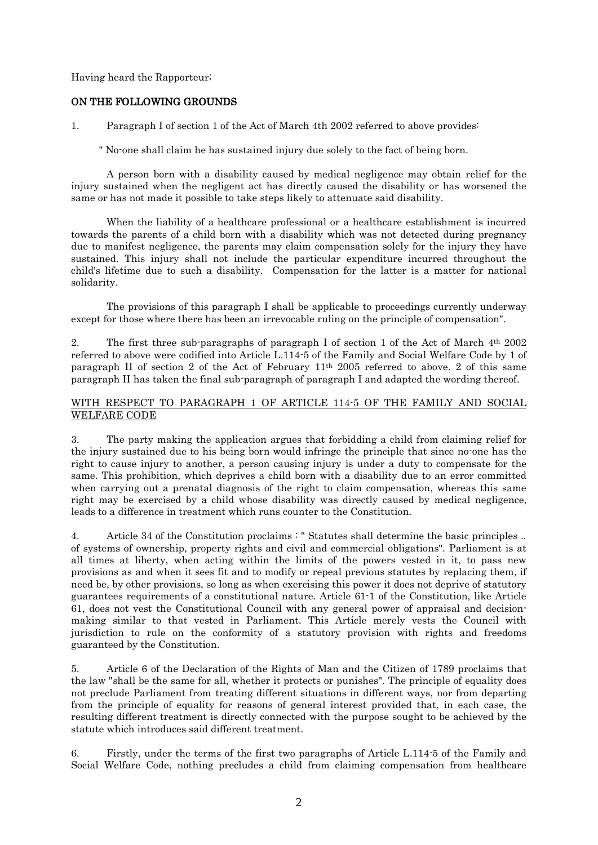Having heard the Rapporteur;

### ON THE FOLLOWING GROUNDS

1. Paragraph I of section 1 of the Act of March 4th 2002 referred to above provides:

" No-one shall claim he has sustained injury due solely to the fact of being born.

A person born with a disability caused by medical negligence may obtain relief for the injury sustained when the negligent act has directly caused the disability or has worsened the same or has not made it possible to take steps likely to attenuate said disability.

When the liability of a healthcare professional or a healthcare establishment is incurred towards the parents of a child born with a disability which was not detected during pregnancy due to manifest negligence, the parents may claim compensation solely for the injury they have sustained. This injury shall not include the particular expenditure incurred throughout the child's lifetime due to such a disability. Compensation for the latter is a matter for national solidarity.

The provisions of this paragraph I shall be applicable to proceedings currently underway except for those where there has been an irrevocable ruling on the principle of compensation".

2. The first three sub-paragraphs of paragraph I of section 1 of the Act of March  $4<sup>th</sup> 2002$ referred to above were codified into Article L.114-5 of the Family and Social Welfare Code by 1 of paragraph II of section 2 of the Act of February 11th 2005 referred to above. 2 of this same paragraph II has taken the final sub-paragraph of paragraph I and adapted the wording thereof.

### WITH RESPECT TO PARAGRAPH 1 OF ARTICLE 114-5 OF THE FAMILY AND SOCIAL WELFARE CODE

3. The party making the application argues that forbidding a child from claiming relief for the injury sustained due to his being born would infringe the principle that since no-one has the right to cause injury to another, a person causing injury is under a duty to compensate for the same. This prohibition, which deprives a child born with a disability due to an error committed when carrying out a prenatal diagnosis of the right to claim compensation, whereas this same right may be exercised by a child whose disability was directly caused by medical negligence, leads to a difference in treatment which runs counter to the Constitution.

4. Article 34 of the Constitution proclaims : " Statutes shall determine the basic principles .. of systems of ownership, property rights and civil and commercial obligations". Parliament is at all times at liberty, when acting within the limits of the powers vested in it, to pass new provisions as and when it sees fit and to modify or repeal previous statutes by replacing them, if need be, by other provisions, so long as when exercising this power it does not deprive of statutory guarantees requirements of a constitutional nature. Article 61-1 of the Constitution, like Article 61, does not vest the Constitutional Council with any general power of appraisal and decisionmaking similar to that vested in Parliament. This Article merely vests the Council with jurisdiction to rule on the conformity of a statutory provision with rights and freedoms guaranteed by the Constitution.

5. Article 6 of the Declaration of the Rights of Man and the Citizen of 1789 proclaims that the law "shall be the same for all, whether it protects or punishes". The principle of equality does not preclude Parliament from treating different situations in different ways, nor from departing from the principle of equality for reasons of general interest provided that, in each case, the resulting different treatment is directly connected with the purpose sought to be achieved by the statute which introduces said different treatment.

6. Firstly, under the terms of the first two paragraphs of Article L.114-5 of the Family and Social Welfare Code, nothing precludes a child from claiming compensation from healthcare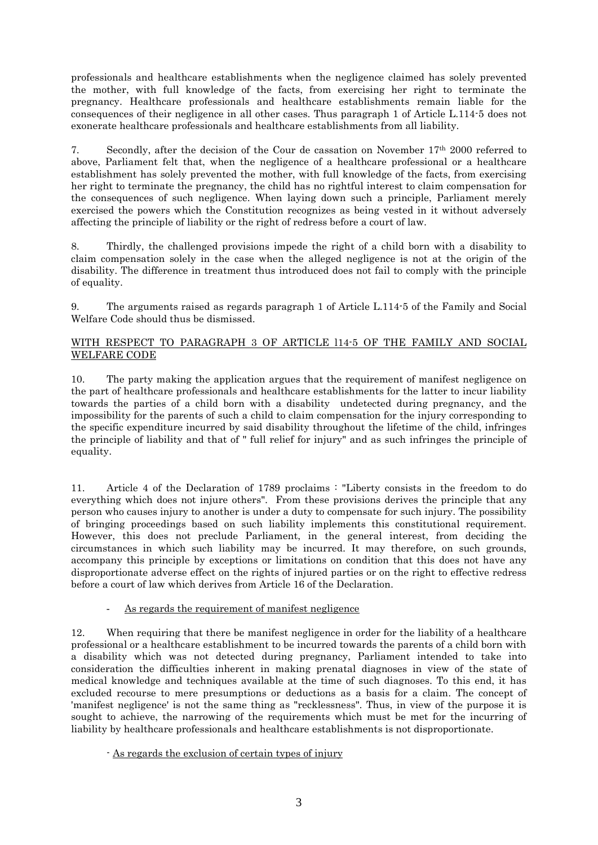professionals and healthcare establishments when the negligence claimed has solely prevented the mother, with full knowledge of the facts, from exercising her right to terminate the pregnancy. Healthcare professionals and healthcare establishments remain liable for the consequences of their negligence in all other cases. Thus paragraph 1 of Article L.114-5 does not exonerate healthcare professionals and healthcare establishments from all liability.

7. Secondly, after the decision of the Cour de cassation on November  $17<sup>th</sup> 2000$  referred to above, Parliament felt that, when the negligence of a healthcare professional or a healthcare establishment has solely prevented the mother, with full knowledge of the facts, from exercising her right to terminate the pregnancy, the child has no rightful interest to claim compensation for the consequences of such negligence. When laying down such a principle, Parliament merely exercised the powers which the Constitution recognizes as being vested in it without adversely affecting the principle of liability or the right of redress before a court of law.

8. Thirdly, the challenged provisions impede the right of a child born with a disability to claim compensation solely in the case when the alleged negligence is not at the origin of the disability. The difference in treatment thus introduced does not fail to comply with the principle of equality.

9. The arguments raised as regards paragraph 1 of Article L.114-5 of the Family and Social Welfare Code should thus be dismissed.

## WITH RESPECT TO PARAGRAPH 3 OF ARTICLE l14-5 OF THE FAMILY AND SOCIAL WELFARE CODE

10. The party making the application argues that the requirement of manifest negligence on the part of healthcare professionals and healthcare establishments for the latter to incur liability towards the parties of a child born with a disability undetected during pregnancy, and the impossibility for the parents of such a child to claim compensation for the injury corresponding to the specific expenditure incurred by said disability throughout the lifetime of the child, infringes the principle of liability and that of " full relief for injury" and as such infringes the principle of equality.

11. Article 4 of the Declaration of 1789 proclaims : "Liberty consists in the freedom to do everything which does not injure others". From these provisions derives the principle that any person who causes injury to another is under a duty to compensate for such injury. The possibility of bringing proceedings based on such liability implements this constitutional requirement. However, this does not preclude Parliament, in the general interest, from deciding the circumstances in which such liability may be incurred. It may therefore, on such grounds, accompany this principle by exceptions or limitations on condition that this does not have any disproportionate adverse effect on the rights of injured parties or on the right to effective redress before a court of law which derives from Article 16 of the Declaration.

As regards the requirement of manifest negligence

12. When requiring that there be manifest negligence in order for the liability of a healthcare professional or a healthcare establishment to be incurred towards the parents of a child born with a disability which was not detected during pregnancy, Parliament intended to take into consideration the difficulties inherent in making prenatal diagnoses in view of the state of medical knowledge and techniques available at the time of such diagnoses. To this end, it has excluded recourse to mere presumptions or deductions as a basis for a claim. The concept of 'manifest negligence' is not the same thing as "recklessness". Thus, in view of the purpose it is sought to achieve, the narrowing of the requirements which must be met for the incurring of liability by healthcare professionals and healthcare establishments is not disproportionate.

- As regards the exclusion of certain types of injury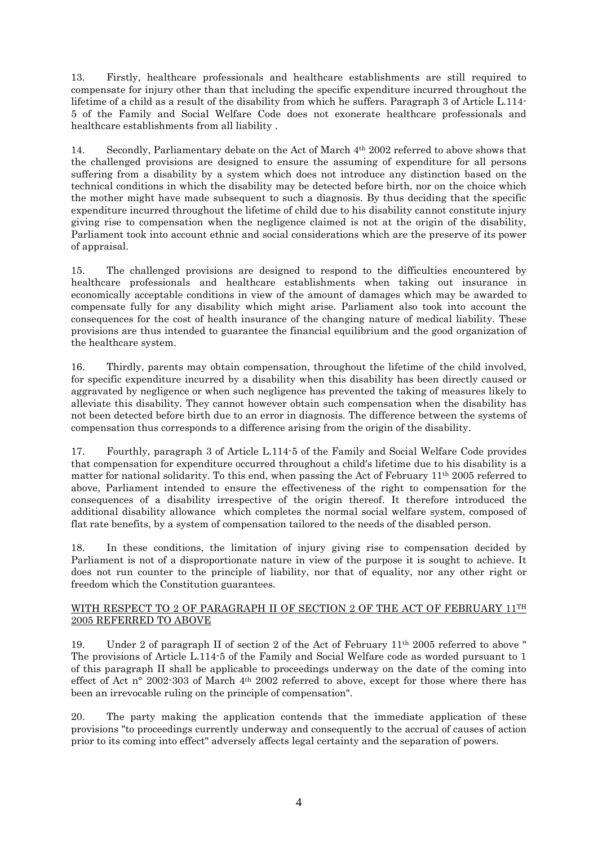13. Firstly, healthcare professionals and healthcare establishments are still required to compensate for injury other than that including the specific expenditure incurred throughout the lifetime of a child as a result of the disability from which he suffers. Paragraph 3 of Article L.114-5 of the Family and Social Welfare Code does not exonerate healthcare professionals and healthcare establishments from all liability .

14. Secondly, Parliamentary debate on the Act of March 4<sup>th</sup> 2002 referred to above shows that the challenged provisions are designed to ensure the assuming of expenditure for all persons suffering from a disability by a system which does not introduce any distinction based on the technical conditions in which the disability may be detected before birth, nor on the choice which the mother might have made subsequent to such a diagnosis. By thus deciding that the specific expenditure incurred throughout the lifetime of child due to his disability cannot constitute injury giving rise to compensation when the negligence claimed is not at the origin of the disability, Parliament took into account ethnic and social considerations which are the preserve of its power of appraisal.

15. The challenged provisions are designed to respond to the difficulties encountered by healthcare professionals and healthcare establishments when taking out insurance in economically acceptable conditions in view of the amount of damages which may be awarded to compensate fully for any disability which might arise. Parliament also took into account the consequences for the cost of health insurance of the changing nature of medical liability. These provisions are thus intended to guarantee the financial equilibrium and the good organization of the healthcare system.

16. Thirdly, parents may obtain compensation, throughout the lifetime of the child involved, for specific expenditure incurred by a disability when this disability has been directly caused or aggravated by negligence or when such negligence has prevented the taking of measures likely to alleviate this disability. They cannot however obtain such compensation when the disability has not been detected before birth due to an error in diagnosis. The difference between the systems of compensation thus corresponds to a difference arising from the origin of the disability.

17. Fourthly, paragraph 3 of Article L.114-5 of the Family and Social Welfare Code provides that compensation for expenditure occurred throughout a child's lifetime due to his disability is a matter for national solidarity. To this end, when passing the Act of February  $11<sup>th</sup> 2005$  referred to above, Parliament intended to ensure the effectiveness of the right to compensation for the consequences of a disability irrespective of the origin thereof. It therefore introduced the additional disability allowance which completes the normal social welfare system, composed of flat rate benefits, by a system of compensation tailored to the needs of the disabled person.

18. In these conditions, the limitation of injury giving rise to compensation decided by Parliament is not of a disproportionate nature in view of the purpose it is sought to achieve. It does not run counter to the principle of liability, nor that of equality, nor any other right or freedom which the Constitution guarantees.

## WITH RESPECT TO 2 OF PARAGRAPH II OF SECTION 2 OF THE ACT OF FEBRUARY 11<sup>TH</sup> 2005 REFERRED TO ABOVE

19. Under 2 of paragraph II of section 2 of the Act of February 11th 2005 referred to above " The provisions of Article L.114-5 of the Family and Social Welfare code as worded pursuant to 1 of this paragraph II shall be applicable to proceedings underway on the date of the coming into effect of Act n° 2002-303 of March 4<sup>th</sup> 2002 referred to above, except for those where there has been an irrevocable ruling on the principle of compensation".

20. The party making the application contends that the immediate application of these provisions "to proceedings currently underway and consequently to the accrual of causes of action prior to its coming into effect" adversely affects legal certainty and the separation of powers.